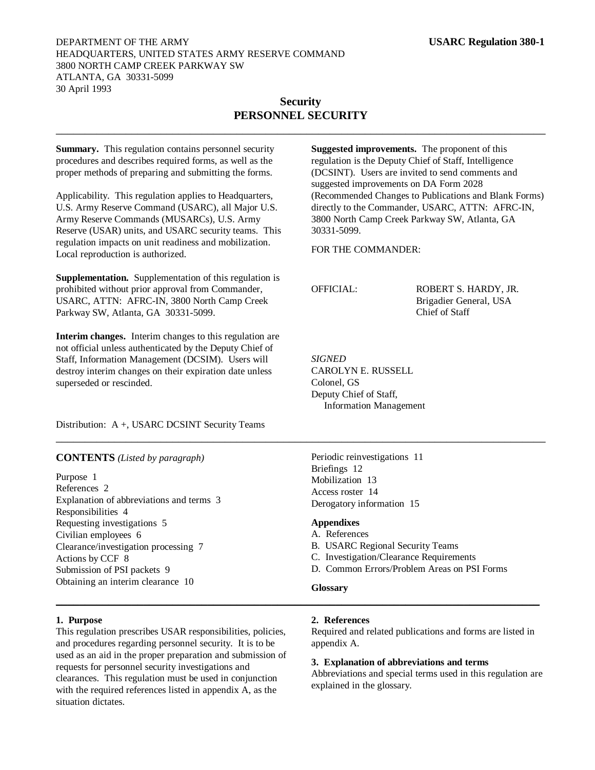## DEPARTMENT OF THE ARMY **USARC Regulation 380-1** HEADQUARTERS, UNITED STATES ARMY RESERVE COMMAND 3800 NORTH CAMP CREEK PARKWAY SW ATLANTA, GA 30331-5099 30 April 1993

# **Security PERSONNEL SECURITY**

 $\_$  , and the set of the set of the set of the set of the set of the set of the set of the set of the set of the set of the set of the set of the set of the set of the set of the set of the set of the set of the set of th

**Summary.** This regulation contains personnel security procedures and describes required forms, as well as the proper methods of preparing and submitting the forms.

Applicability. This regulation applies to Headquarters, U.S. Army Reserve Command (USARC), all Major U.S. Army Reserve Commands (MUSARCs), U.S. Army Reserve (USAR) units, and USARC security teams. This regulation impacts on unit readiness and mobilization. Local reproduction is authorized.

**Supplementation.** Supplementation of this regulation is prohibited without prior approval from Commander, USARC, ATTN: AFRC-IN, 3800 North Camp Creek Parkway SW, Atlanta, GA 30331-5099.

**Interim changes.** Interim changes to this regulation are not official unless authenticated by the Deputy Chief of Staff, Information Management (DCSIM). Users will destroy interim changes on their expiration date unless superseded or rescinded.

Distribution: A +, USARC DCSINT Security Teams

**CONTENTS** *(Listed by paragraph)*

Purpose 1 References 2 Explanation of abbreviations and terms 3 Responsibilities 4 Requesting investigations 5 Civilian employees 6 Clearance/investigation processing 7 Actions by CCF 8 Submission of PSI packets 9 Obtaining an interim clearance 10

**Suggested improvements.** The proponent of this regulation is the Deputy Chief of Staff, Intelligence (DCSINT). Users are invited to send comments and suggested improvements on DA Form 2028 (Recommended Changes to Publications and Blank Forms) directly to the Commander, USARC, ATTN: AFRC-IN, 3800 North Camp Creek Parkway SW, Atlanta, GA 30331-5099.

FOR THE COMMANDER:

OFFICIAL: ROBERT S. HARDY, JR. Brigadier General, USA Chief of Staff

*SIGNED* CAROLYN E. RUSSELL Colonel, GS Deputy Chief of Staff, Information Management

Periodic reinvestigations 11 Briefings 12 Mobilization 13 Access roster 14 Derogatory information 15

#### **Appendixes**

\_\_\_\_\_\_\_\_\_\_\_\_\_\_\_\_\_\_\_\_\_\_\_\_\_\_\_\_\_\_\_\_\_\_\_\_\_\_\_\_\_\_\_\_\_\_\_\_\_\_\_\_\_\_\_\_\_\_\_\_\_\_\_\_\_\_\_\_\_\_\_\_\_\_\_\_\_\_\_\_\_\_\_\_

- A. References
- B. USARC Regional Security Teams
- C. Investigation/Clearance Requirements
- D. Common Errors/Problem Areas on PSI Forms

## **Glossary**

\_\_\_\_\_\_\_\_\_\_\_\_\_\_\_\_\_\_\_\_\_\_\_\_\_\_\_\_\_\_\_\_\_\_\_\_\_\_\_\_\_\_\_\_\_\_\_\_\_\_\_\_\_\_\_\_\_\_\_\_\_\_\_\_\_\_\_\_\_\_\_\_\_\_\_\_\_\_\_\_\_\_\_

#### **1. Purpose**

This regulation prescribes USAR responsibilities, policies, and procedures regarding personnel security. It is to be used as an aid in the proper preparation and submission of requests for personnel security investigations and clearances. This regulation must be used in conjunction with the required references listed in appendix A, as the situation dictates.

## **2. References**

Required and related publications and forms are listed in appendix A.

## **3. Explanation of abbreviations and terms**

Abbreviations and special terms used in this regulation are explained in the glossary.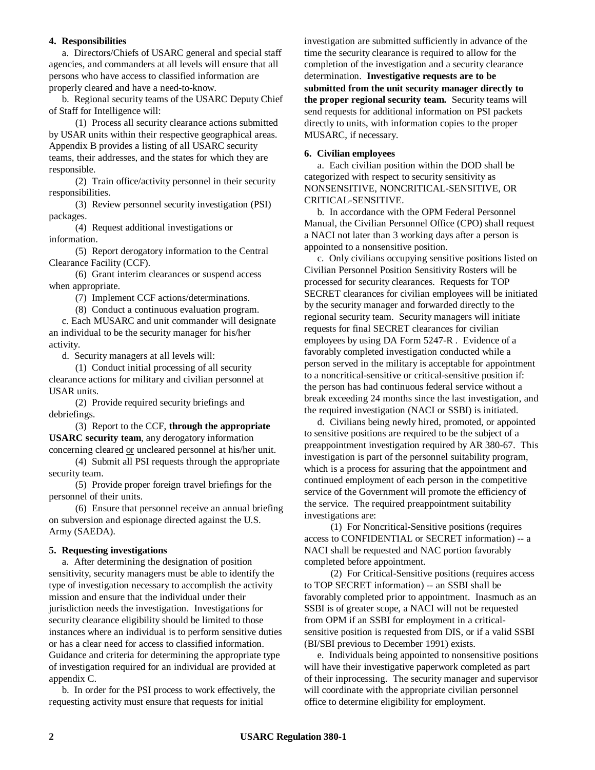#### **4. Responsibilities**

a. Directors/Chiefs of USARC general and special staff agencies, and commanders at all levels will ensure that all persons who have access to classified information are properly cleared and have a need-to-know.

b. Regional security teams of the USARC Deputy Chief of Staff for Intelligence will:

(1) Process all security clearance actions submitted by USAR units within their respective geographical areas. Appendix B provides a listing of all USARC security teams, their addresses, and the states for which they are responsible.

(2) Train office/activity personnel in their security responsibilities.

(3) Review personnel security investigation (PSI) packages.

(4) Request additional investigations or information.

(5) Report derogatory information to the Central Clearance Facility (CCF).

(6) Grant interim clearances or suspend access when appropriate.

(7) Implement CCF actions/determinations.

(8) Conduct a continuous evaluation program.

c. Each MUSARC and unit commander will designate an individual to be the security manager for his/her activity.

d. Security managers at all levels will:

(1) Conduct initial processing of all security clearance actions for military and civilian personnel at USAR units.

(2) Provide required security briefings and debriefings.

(3) Report to the CCF, **through the appropriate USARC security team**, any derogatory information concerning cleared or uncleared personnel at his/her unit.

(4) Submit all PSI requests through the appropriate security team.

(5) Provide proper foreign travel briefings for the personnel of their units.

(6) Ensure that personnel receive an annual briefing on subversion and espionage directed against the U.S. Army (SAEDA).

## **5. Requesting investigations**

a. After determining the designation of position sensitivity, security managers must be able to identify the type of investigation necessary to accomplish the activity mission and ensure that the individual under their jurisdiction needs the investigation. Investigations for security clearance eligibility should be limited to those instances where an individual is to perform sensitive duties or has a clear need for access to classified information. Guidance and criteria for determining the appropriate type of investigation required for an individual are provided at appendix C.

b. In order for the PSI process to work effectively, the requesting activity must ensure that requests for initial

investigation are submitted sufficiently in advance of the time the security clearance is required to allow for the completion of the investigation and a security clearance determination. **Investigative requests are to be submitted from the unit security manager directly to the proper regional security team.** Security teams will send requests for additional information on PSI packets directly to units, with information copies to the proper MUSARC, if necessary.

#### **6. Civilian employees**

a. Each civilian position within the DOD shall be categorized with respect to security sensitivity as NONSENSITIVE, NONCRITICAL-SENSITIVE, OR CRITICAL-SENSITIVE.

b. In accordance with the OPM Federal Personnel Manual, the Civilian Personnel Office (CPO) shall request a NACI not later than 3 working days after a person is appointed to a nonsensitive position.

c. Only civilians occupying sensitive positions listed on Civilian Personnel Position Sensitivity Rosters will be processed for security clearances. Requests for TOP SECRET clearances for civilian employees will be initiated by the security manager and forwarded directly to the regional security team. Security managers will initiate requests for final SECRET clearances for civilian employees by using DA Form 5247-R . Evidence of a favorably completed investigation conducted while a person served in the military is acceptable for appointment to a noncritical-sensitive or critical-sensitive position if: the person has had continuous federal service without a break exceeding 24 months since the last investigation, and the required investigation (NACI or SSBI) is initiated.

d. Civilians being newly hired, promoted, or appointed to sensitive positions are required to be the subject of a preappointment investigation required by AR 380-67. This investigation is part of the personnel suitability program, which is a process for assuring that the appointment and continued employment of each person in the competitive service of the Government will promote the efficiency of the service. The required preappointment suitability investigations are:

(1) For Noncritical-Sensitive positions (requires access to CONFIDENTIAL or SECRET information) -- a NACI shall be requested and NAC portion favorably completed before appointment.

(2) For Critical-Sensitive positions (requires access to TOP SECRET information) -- an SSBI shall be favorably completed prior to appointment. Inasmuch as an SSBI is of greater scope, a NACI will not be requested from OPM if an SSBI for employment in a criticalsensitive position is requested from DIS, or if a valid SSBI (BI/SBI previous to December 1991) exists.

e. Individuals being appointed to nonsensitive positions will have their investigative paperwork completed as part of their inprocessing. The security manager and supervisor will coordinate with the appropriate civilian personnel office to determine eligibility for employment.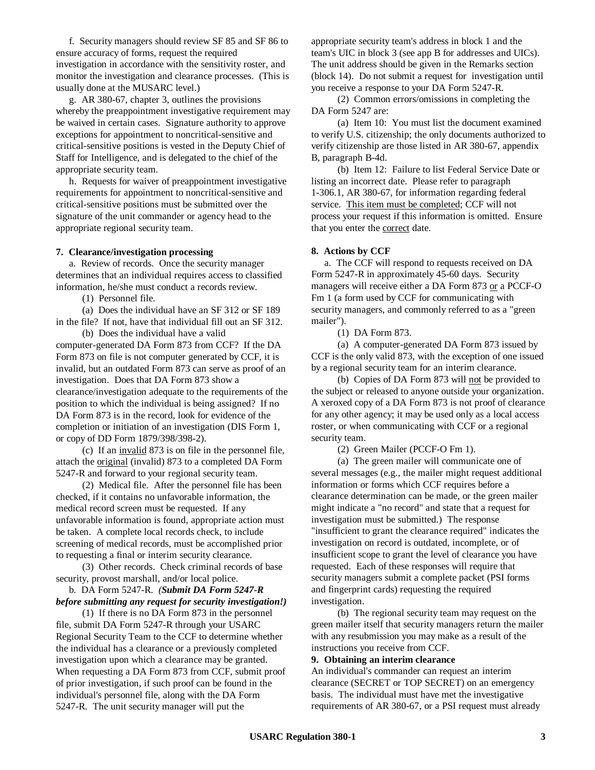f. Security managers should review SF 85 and SF 86 to ensure accuracy of forms, request the required investigation in accordance with the sensitivity roster, and monitor the investigation and clearance processes. (This is usually done at the MUSARC level.)

g. AR 380-67, chapter 3, outlines the provisions whereby the preappointment investigative requirement may be waived in certain cases. Signature authority to approve exceptions for appointment to noncritical-sensitive and critical-sensitive positions is vested in the Deputy Chief of Staff for Intelligence, and is delegated to the chief of the appropriate security team.

h. Requests for waiver of preappointment investigative requirements for appointment to noncritical-sensitive and critical-sensitive positions must be submitted over the signature of the unit commander or agency head to the appropriate regional security team.

#### **7. Clearance/investigation processing**

a. Review of records. Once the security manager determines that an individual requires access to classified information, he/she must conduct a records review.

(1) Personnel file.

(a) Does the individual have an SF 312 or SF 189 in the file? If not, have that individual fill out an SF 312. (b) Does the individual have a valid

computer-generated DA Form 873 from CCF? If the DA Form 873 on file is not computer generated by CCF, it is invalid, but an outdated Form 873 can serve as proof of an investigation. Does that DA Form 873 show a clearance/investigation adequate to the requirements of the position to which the individual is being assigned? If no DA Form 873 is in the record, look for evidence of the completion or initiation of an investigation (DIS Form 1, or copy of DD Form 1879/398/398-2).

(c) If an invalid 873 is on file in the personnel file, attach the original (invalid) 873 to a completed DA Form 5247-R and forward to your regional security team.

(2) Medical file. After the personnel file has been checked, if it contains no unfavorable information, the medical record screen must be requested. If any unfavorable information is found, appropriate action must be taken. A complete local records check, to include screening of medical records, must be accomplished prior to requesting a final or interim security clearance.

(3) Other records. Check criminal records of base security, provost marshall, and/or local police.

## b. DA Form 5247-R. *(Submit DA Form 5247-R before submitting any request for security investigation!)*

(1) If there is no DA Form 873 in the personnel file, submit DA Form 5247-R through your USARC Regional Security Team to the CCF to determine whether the individual has a clearance or a previously completed investigation upon which a clearance may be granted. When requesting a DA Form 873 from CCF, submit proof of prior investigation, if such proof can be found in the individual's personnel file, along with the DA Form 5247-R. The unit security manager will put the

appropriate security team's address in block 1 and the team's UIC in block 3 (see app B for addresses and UICs). The unit address should be given in the Remarks section (block 14). Do not submit a request for investigation until you receive a response to your DA Form 5247-R.

(2) Common errors/omissions in completing the DA Form 5247 are:

(a) Item 10: You must list the document examined to verify U.S. citizenship; the only documents authorized to verify citizenship are those listed in AR 380-67, appendix B, paragraph B-4d.

(b) Item 12: Failure to list Federal Service Date or listing an incorrect date. Please refer to paragraph 1-306.1, AR 380-67, for information regarding federal service. This item must be completed; CCF will not process your request if this information is omitted. Ensure that you enter the correct date.

#### **8. Actions by CCF**

a. The CCF will respond to requests received on DA Form 5247-R in approximately 45-60 days. Security managers will receive either a DA Form 873 or a PCCF-O Fm 1 (a form used by CCF for communicating with security managers, and commonly referred to as a "green mailer").

(1) DA Form 873.

(a) A computer-generated DA Form 873 issued by CCF is the only valid 873, with the exception of one issued by a regional security team for an interim clearance.

(b) Copies of DA Form 873 will not be provided to the subject or released to anyone outside your organization. A xeroxed copy of a DA Form 873 is not proof of clearance for any other agency; it may be used only as a local access roster, or when communicating with CCF or a regional security team.

(2) Green Mailer (PCCF-O Fm 1).

(a) The green mailer will communicate one of several messages (e.g., the mailer might request additional information or forms which CCF requires before a clearance determination can be made, or the green mailer might indicate a "no record" and state that a request for investigation must be submitted.) The response "insufficient to grant the clearance required" indicates the investigation on record is outdated, incomplete, or of insufficient scope to grant the level of clearance you have requested. Each of these responses will require that security managers submit a complete packet (PSI forms and fingerprint cards) requesting the required investigation.

(b) The regional security team may request on the green mailer itself that security managers return the mailer with any resubmission you may make as a result of the instructions you receive from CCF.

#### **9. Obtaining an interim clearance**

An individual's commander can request an interim clearance (SECRET or TOP SECRET) on an emergency basis. The individual must have met the investigative requirements of AR 380-67, or a PSI request must already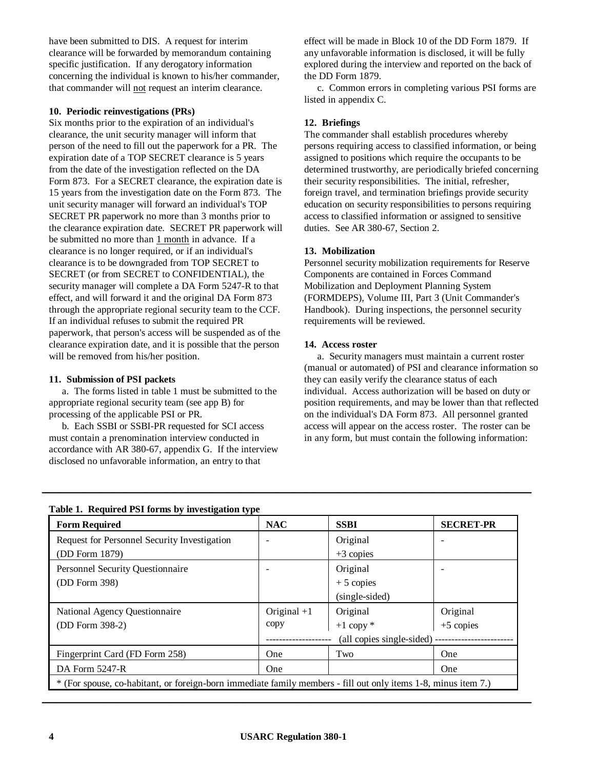have been submitted to DIS. A request for interim clearance will be forwarded by memorandum containing specific justification. If any derogatory information concerning the individual is known to his/her commander, that commander will not request an interim clearance.

## **10. Periodic reinvestigations (PRs)**

Six months prior to the expiration of an individual's clearance, the unit security manager will inform that person of the need to fill out the paperwork for a PR. The expiration date of a TOP SECRET clearance is 5 years from the date of the investigation reflected on the DA Form 873. For a SECRET clearance, the expiration date is 15 years from the investigation date on the Form 873. The unit security manager will forward an individual's TOP SECRET PR paperwork no more than 3 months prior to the clearance expiration date. SECRET PR paperwork will be submitted no more than 1 month in advance. If a clearance is no longer required, or if an individual's clearance is to be downgraded from TOP SECRET to SECRET (or from SECRET to CONFIDENTIAL), the security manager will complete a DA Form 5247-R to that effect, and will forward it and the original DA Form 873 through the appropriate regional security team to the CCF. If an individual refuses to submit the required PR paperwork, that person's access will be suspended as of the clearance expiration date, and it is possible that the person will be removed from his/her position.

## **11. Submission of PSI packets**

a. The forms listed in table 1 must be submitted to the appropriate regional security team (see app B) for processing of the applicable PSI or PR.

b. Each SSBI or SSBI-PR requested for SCI access must contain a prenomination interview conducted in accordance with AR 380-67, appendix G. If the interview disclosed no unfavorable information, an entry to that

effect will be made in Block 10 of the DD Form 1879. If any unfavorable information is disclosed, it will be fully explored during the interview and reported on the back of the DD Form 1879.

c. Common errors in completing various PSI forms are listed in appendix C.

#### **12. Briefings**

The commander shall establish procedures whereby persons requiring access to classified information, or being assigned to positions which require the occupants to be determined trustworthy, are periodically briefed concerning their security responsibilities. The initial, refresher, foreign travel, and termination briefings provide security education on security responsibilities to persons requiring access to classified information or assigned to sensitive duties. See AR 380-67, Section 2.

#### **13. Mobilization**

Personnel security mobilization requirements for Reserve Components are contained in Forces Command Mobilization and Deployment Planning System (FORMDEPS), Volume III, Part 3 (Unit Commander's Handbook). During inspections, the personnel security requirements will be reviewed.

#### **14. Access roster**

a. Security managers must maintain a current roster (manual or automated) of PSI and clearance information so they can easily verify the clearance status of each individual. Access authorization will be based on duty or position requirements, and may be lower than that reflected on the individual's DA Form 873. All personnel granted access will appear on the access roster. The roster can be in any form, but must contain the following information:

| <b>Form Required</b>                                                                                           | <b>NAC</b>    | <b>SSBI</b>               | <b>SECRET-PR</b>         |  |
|----------------------------------------------------------------------------------------------------------------|---------------|---------------------------|--------------------------|--|
| Request for Personnel Security Investigation                                                                   |               | Original                  |                          |  |
| (DD Form 1879)                                                                                                 |               | $+3$ copies               |                          |  |
| Personnel Security Questionnaire                                                                               |               | Original                  | $\overline{\phantom{0}}$ |  |
| $(DD$ Form 398)                                                                                                |               | $+5$ copies               |                          |  |
|                                                                                                                |               | (single-sided)            |                          |  |
| National Agency Questionnaire                                                                                  | Original $+1$ | Original                  | Original                 |  |
| (DD Form 398-2)                                                                                                | copy          | $+1$ copy $*$             | $+5$ copies              |  |
|                                                                                                                |               | (all copies single-sided) |                          |  |
| Fingerprint Card (FD Form 258)                                                                                 | <b>One</b>    | Two                       | One                      |  |
| DA Form 5247-R                                                                                                 | One           |                           | One                      |  |
| * (For spouse, co-habitant, or foreign-born immediate family members - fill out only items 1-8, minus item 7.) |               |                           |                          |  |

 $\_$  , and the set of the set of the set of the set of the set of the set of the set of the set of the set of the set of the set of the set of the set of the set of the set of the set of the set of the set of the set of th

### **Table 1. Required PSI forms by investigation type**

 $\_$  , and the set of the set of the set of the set of the set of the set of the set of the set of the set of the set of the set of the set of the set of the set of the set of the set of the set of the set of the set of th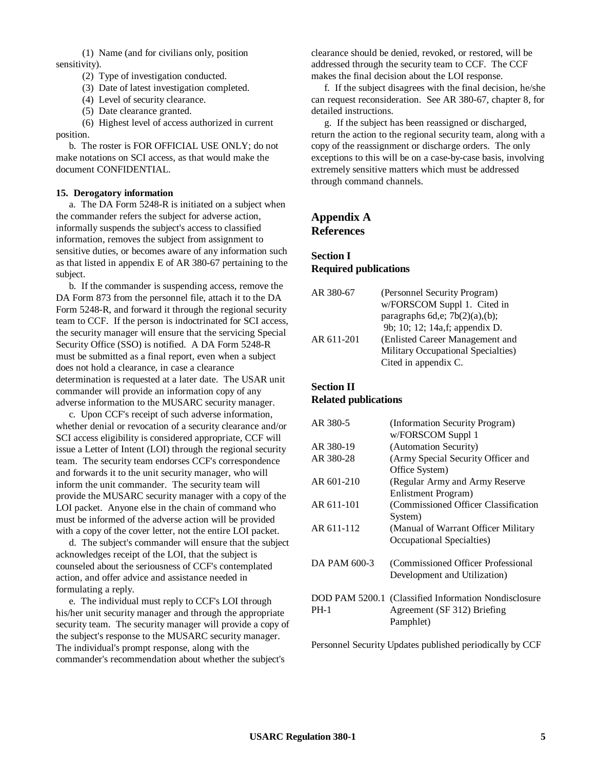(1) Name (and for civilians only, position sensitivity).

(2) Type of investigation conducted.

(3) Date of latest investigation completed.

(4) Level of security clearance.

(5) Date clearance granted.

(6) Highest level of access authorized in current position.

b. The roster is FOR OFFICIAL USE ONLY; do not make notations on SCI access, as that would make the document CONFIDENTIAL.

#### **15. Derogatory information**

a. The DA Form 5248-R is initiated on a subject when the commander refers the subject for adverse action, informally suspends the subject's access to classified information, removes the subject from assignment to sensitive duties, or becomes aware of any information such as that listed in appendix E of AR 380-67 pertaining to the subject.

b. If the commander is suspending access, remove the DA Form 873 from the personnel file, attach it to the DA Form 5248-R, and forward it through the regional security team to CCF. If the person is indoctrinated for SCI access, the security manager will ensure that the servicing Special Security Office (SSO) is notified. A DA Form 5248-R must be submitted as a final report, even when a subject does not hold a clearance, in case a clearance determination is requested at a later date. The USAR unit commander will provide an information copy of any adverse information to the MUSARC security manager.

c. Upon CCF's receipt of such adverse information, whether denial or revocation of a security clearance and/or SCI access eligibility is considered appropriate, CCF will issue a Letter of Intent (LOI) through the regional security team. The security team endorses CCF's correspondence and forwards it to the unit security manager, who will inform the unit commander. The security team will provide the MUSARC security manager with a copy of the LOI packet. Anyone else in the chain of command who must be informed of the adverse action will be provided with a copy of the cover letter, not the entire LOI packet.

d. The subject's commander will ensure that the subject acknowledges receipt of the LOI, that the subject is counseled about the seriousness of CCF's contemplated action, and offer advice and assistance needed in formulating a reply.

e. The individual must reply to CCF's LOI through his/her unit security manager and through the appropriate security team. The security manager will provide a copy of the subject's response to the MUSARC security manager. The individual's prompt response, along with the commander's recommendation about whether the subject's

clearance should be denied, revoked, or restored, will be addressed through the security team to CCF. The CCF makes the final decision about the LOI response.

f. If the subject disagrees with the final decision, he/she can request reconsideration. See AR 380-67, chapter 8, for detailed instructions.

g. If the subject has been reassigned or discharged, return the action to the regional security team, along with a copy of the reassignment or discharge orders. The only exceptions to this will be on a case-by-case basis, involving extremely sensitive matters which must be addressed through command channels.

# **Appendix A References**

# **Section I Required publications**

| (Personnel Security Program)       |
|------------------------------------|
| w/FORSCOM Suppl 1. Cited in        |
| paragraphs 6d,e; $7b(2)(a)$ , (b); |
| 9b; 10; 12; 14a, f; appendix D.    |
| (Enlisted Career Management and    |
| Military Occupational Specialties) |
| Cited in appendix C.               |
|                                    |

## **Section II Related publications**

| AR 380-5     | (Information Security Program)                       |
|--------------|------------------------------------------------------|
|              | w/FORSCOM Suppl 1                                    |
| AR 380-19    | (Automation Security)                                |
| AR 380-28    | (Army Special Security Officer and                   |
|              | Office System)                                       |
| AR 601-210   | (Regular Army and Army Reserve                       |
|              | Enlistment Program)                                  |
| AR 611-101   | (Commissioned Officer Classification)                |
|              | System)                                              |
| AR 611-112   | (Manual of Warrant Officer Military)                 |
|              | Occupational Specialties)                            |
| DA PAM 600-3 | (Commissioned Officer Professional)                  |
|              | Development and Utilization)                         |
|              | DOD PAM 5200.1 (Classified Information Nondisclosure |
| <b>PH-1</b>  | Agreement (SF 312) Briefing                          |
|              | Pamphlet)                                            |
|              |                                                      |

Personnel Security Updates published periodically by CCF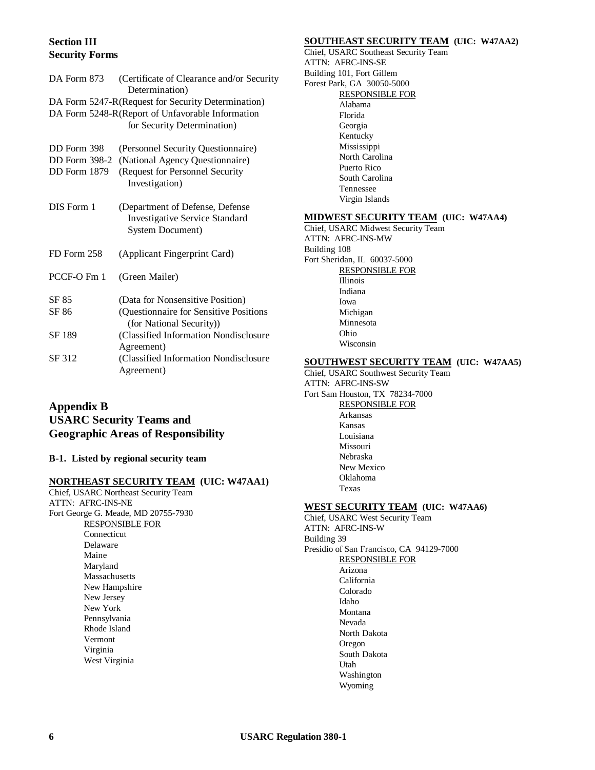# **Section III Security Forms**

| DA Form 873          | (Certificate of Clearance and/or Security<br>Determination)                                         |
|----------------------|-----------------------------------------------------------------------------------------------------|
|                      | DA Form 5247-R(Request for Security Determination)                                                  |
|                      | DA Form 5248-R(Report of Unfavorable Information                                                    |
|                      | for Security Determination)                                                                         |
| DD Form 398          | (Personnel Security Questionnaire)                                                                  |
| <b>DD</b> Form 398-2 | (National Agency Questionnaire)                                                                     |
| DD Form 1879         | (Request for Personnel Security<br>Investigation)                                                   |
| DIS Form 1           | (Department of Defense, Defense<br><b>Investigative Service Standard</b><br><b>System Document)</b> |
| FD Form 258          | (Applicant Fingerprint Card)                                                                        |
| PCCF-O Fm 1          | (Green Mailer)                                                                                      |
| SF 85                | (Data for Nonsensitive Position)                                                                    |
| SF 86                | (Questionnaire for Sensitive Positions<br>(for National Security))                                  |
| SF 189               | (Classified Information Nondisclosure                                                               |
|                      | Agreement)                                                                                          |
| SF 312               | (Classified Information Nondisclosure                                                               |
|                      | Agreement)                                                                                          |

# **Appendix B USARC Security Teams and Geographic Areas of Responsibility**

#### **B-1. Listed by regional security team**

## **NORTHEAST SECURITY TEAM (UIC: W47AA1)**

Chief, USARC Northeast Security Team ATTN: AFRC-INS-NE Fort George G. Meade, MD 20755-7930 RESPONSIBLE FOR Connecticut Delaware Maine Maryland Massachusetts New Hampshire New Jersey New York Pennsylvania Rhode Island Vermont Virginia West Virginia

#### **SOUTHEAST SECURITY TEAM (UIC: W47AA2)**

Chief, USARC Southeast Security Team ATTN: AFRC-INS-SE Building 101, Fort Gillem Forest Park, GA 30050-5000 RESPONSIBLE FOR Alabama Florida Georgia Kentucky Mississippi North Carolina Puerto Rico South Carolina Tennessee Virgin Islands

### **MIDWEST SECURITY TEAM (UIC: W47AA4)**

Chief, USARC Midwest Security Team ATTN: AFRC-INS-MW Building 108 Fort Sheridan, IL 60037-5000 RESPONSIBLE FOR Illinois Indiana Iowa Michigan Minnesota Ohio Wisconsin

#### **SOUTHWEST SECURITY TEAM (UIC: W47AA5)**

Chief, USARC Southwest Security Team ATTN: AFRC-INS-SW Fort Sam Houston, TX 78234-7000 RESPONSIBLE FOR Arkansas Kansas Louisiana Missouri Nebraska New Mexico Oklahoma Texas

### **WEST SECURITY TEAM (UIC: W47AA6)**

Chief, USARC West Security Team ATTN: AFRC-INS-W Building 39 Presidio of San Francisco, CA 94129-7000 RESPONSIBLE FOR Arizona California Colorado Idaho Montana Nevada North Dakota Oregon South Dakota Utah Washington Wyoming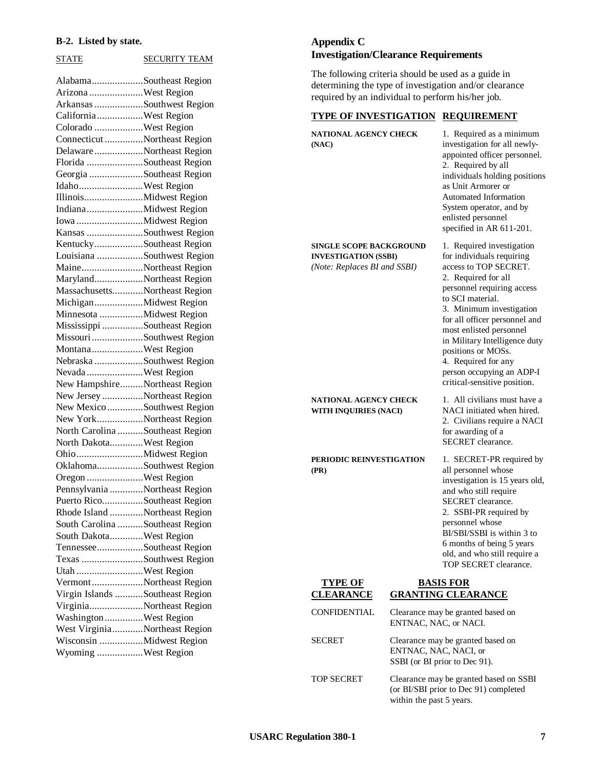#### **B-2. Listed by state.**

STATE SECURITY TEAM

| AlabamaSoutheast Region         |  |
|---------------------------------|--|
| Arizona West Region             |  |
| Arkansas Southwest Region       |  |
| CaliforniaWest Region           |  |
| Colorado West Region            |  |
| Connecticut Northeast Region    |  |
| DelawareNortheast Region        |  |
| Florida Southeast Region        |  |
| Georgia Southeast Region        |  |
| IdahoWest Region                |  |
|                                 |  |
|                                 |  |
|                                 |  |
| Kansas Southwest Region         |  |
| KentuckySoutheast Region        |  |
| Louisiana Southwest Region      |  |
| MaineNortheast Region           |  |
| MarylandNortheast Region        |  |
| MassachusettsNortheast Region   |  |
| MichiganMidwest Region          |  |
| Minnesota Midwest Region        |  |
| Mississippi Southeast Region    |  |
| Missouri Southwest Region       |  |
| MontanaWest Region              |  |
| Nebraska Southwest Region       |  |
|                                 |  |
|                                 |  |
| Nevada West Region              |  |
| New HampshireNortheast Region   |  |
| New Jersey Northeast Region     |  |
| New Mexico Southwest Region     |  |
| New YorkNortheast Region        |  |
| North Carolina Southeast Region |  |
| North DakotaWest Region         |  |
|                                 |  |
| OklahomaSouthwest Region        |  |
| Oregon West Region              |  |
| Pennsylvania Northeast Region   |  |
| Puerto RicoSoutheast Region     |  |
| Rhode Island Northeast Region   |  |
| South Carolina Southeast Region |  |
| South DakotaWest Region         |  |
| TennesseeSoutheast Region       |  |
| Texas Southwest Region          |  |
| Utah West Region                |  |
| VermontNortheast Region         |  |
| Virgin Islands Southeast Region |  |
| VirginiaNortheast Region        |  |
| Washington West Region          |  |
| West VirginiaNortheast Region   |  |
| Wisconsin Midwest Region        |  |

# **Appendix C Investigation/Clearance Requirements**

The following criteria should be used as a guide in determining the type of investigation and/or clearance required by an individual to perform his/her job.

## **TYPE OF INVESTIGATION REQUIREMENT**

| <b>NATIONAL AGENCY CHECK</b><br>(NAC)                                                         |                                                                                             | 1. Required as a minimum<br>investigation for all newly-<br>appointed officer personnel.<br>2. Required by all<br>individuals holding positions<br>as Unit Armorer or<br><b>Automated Information</b><br>System operator, and by<br>enlisted personnel<br>specified in AR 611-201.                                                                                                          |
|-----------------------------------------------------------------------------------------------|---------------------------------------------------------------------------------------------|---------------------------------------------------------------------------------------------------------------------------------------------------------------------------------------------------------------------------------------------------------------------------------------------------------------------------------------------------------------------------------------------|
| <b>SINGLE SCOPE BACKGROUND</b><br><b>INVESTIGATION (SSBI)</b><br>(Note: Replaces BI and SSBI) |                                                                                             | 1. Required investigation<br>for individuals requiring<br>access to TOP SECRET.<br>2. Required for all<br>personnel requiring access<br>to SCI material.<br>3. Minimum investigation<br>for all officer personnel and<br>most enlisted personnel<br>in Military Intelligence duty<br>positions or MOSs.<br>4. Required for any<br>person occupying an ADP-I<br>critical-sensitive position. |
| <b>NATIONAL AGENCY CHECK</b><br><b>WITH INQUIRIES (NACI)</b>                                  |                                                                                             | 1. All civilians must have a<br>NACI initiated when hired.<br>2. Civilians require a NACI<br>for awarding of a<br>SECRET clearance.                                                                                                                                                                                                                                                         |
| PERIODIC REINVESTIGATION<br>(PR)                                                              |                                                                                             | 1. SECRET-PR required by<br>all personnel whose<br>investigation is 15 years old,<br>and who still require<br>SECRET clearance.<br>2. SSBI-PR required by<br>personnel whose<br>BI/SBI/SSBI is within 3 to<br>6 months of being 5 years<br>old, and who still require a<br>TOP SECRET clearance.                                                                                            |
| <b>TYPE OF</b><br><b>CLEARANCE</b>                                                            |                                                                                             | <b>BASIS FOR</b><br><b>GRANTING CLEARANCE</b>                                                                                                                                                                                                                                                                                                                                               |
| <b>CONFIDENTIAL</b>                                                                           | Clearance may be granted based on<br>ENTNAC, NAC, or NACI.                                  |                                                                                                                                                                                                                                                                                                                                                                                             |
| <b>SECRET</b>                                                                                 | Clearance may be granted based on<br>ENTNAC, NAC, NACI, or<br>SSBI (or BI prior to Dec 91). |                                                                                                                                                                                                                                                                                                                                                                                             |
| <b>TOP SECRET</b>                                                                             |                                                                                             | Clearance may be granted based on SSBI<br>(or BI/SBI prior to Dec 91) completed                                                                                                                                                                                                                                                                                                             |

within the past 5 years.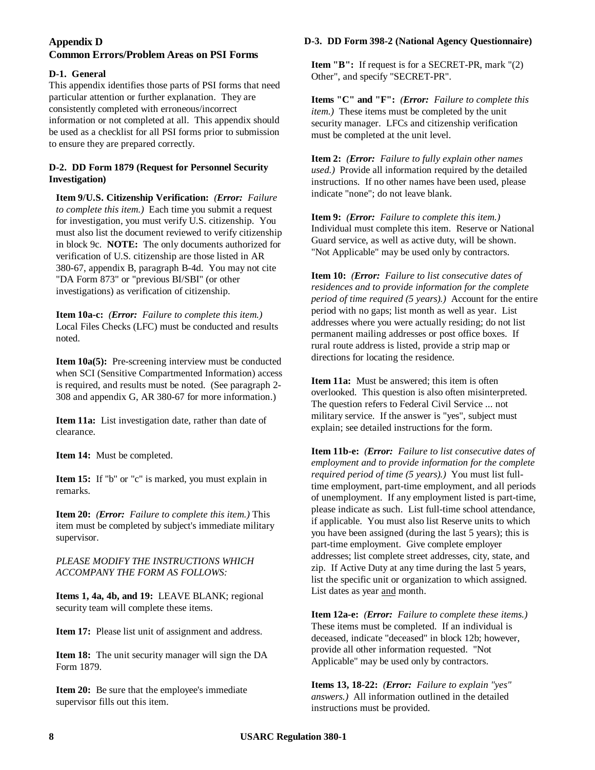## **Appendix D**

# **Common Errors/Problem Areas on PSI Forms**

## **D-1. General**

This appendix identifies those parts of PSI forms that need particular attention or further explanation. They are consistently completed with erroneous/incorrect information or not completed at all. This appendix should be used as a checklist for all PSI forms prior to submission to ensure they are prepared correctly.

## **D-2. DD Form 1879 (Request for Personnel Security Investigation)**

**Item 9/U.S. Citizenship Verification:** *(Error: Failure to complete this item.)* Each time you submit a request for investigation, you must verify U.S. citizenship. You must also list the document reviewed to verify citizenship in block 9c. **NOTE:** The only documents authorized for verification of U.S. citizenship are those listed in AR 380-67, appendix B, paragraph B-4d. You may not cite "DA Form 873" or "previous BI/SBI" (or other investigations) as verification of citizenship.

**Item 10a-c:** *(Error: Failure to complete this item.)* Local Files Checks (LFC) must be conducted and results noted.

**Item 10a(5):** Pre-screening interview must be conducted when SCI (Sensitive Compartmented Information) access is required, and results must be noted. (See paragraph 2- 308 and appendix G, AR 380-67 for more information.)

**Item 11a:** List investigation date, rather than date of clearance.

**Item 14:** Must be completed.

**Item 15:** If "b" or "c" is marked, you must explain in remarks.

**Item 20:** *(Error: Failure to complete this item.)* This item must be completed by subject's immediate military supervisor.

## *PLEASE MODIFY THE INSTRUCTIONS WHICH ACCOMPANY THE FORM AS FOLLOWS:*

**Items 1, 4a, 4b, and 19:** LEAVE BLANK; regional security team will complete these items.

**Item 17:** Please list unit of assignment and address.

**Item 18:** The unit security manager will sign the DA Form 1879.

Item 20: Be sure that the employee's immediate supervisor fills out this item.

## **D-3. DD Form 398-2 (National Agency Questionnaire)**

**Item "B":** If request is for a SECRET-PR, mark "(2) Other", and specify "SECRET-PR".

**Items "C" and "F":** *(Error: Failure to complete this item.)* These items must be completed by the unit security manager. LFCs and citizenship verification must be completed at the unit level.

**Item 2:** *(Error: Failure to fully explain other names used.)* Provide all information required by the detailed instructions. If no other names have been used, please indicate "none"; do not leave blank.

**Item 9:** *(Error: Failure to complete this item.)* Individual must complete this item. Reserve or National Guard service, as well as active duty, will be shown. "Not Applicable" may be used only by contractors.

**Item 10:** *(Error: Failure to list consecutive dates of residences and to provide information for the complete period of time required (5 years).)* Account for the entire period with no gaps; list month as well as year. List addresses where you were actually residing; do not list permanent mailing addresses or post office boxes. If rural route address is listed, provide a strip map or directions for locating the residence.

**Item 11a:** Must be answered; this item is often overlooked. This question is also often misinterpreted. The question refers to Federal Civil Service ... not military service. If the answer is "yes", subject must explain; see detailed instructions for the form.

**Item 11b-e:** *(Error: Failure to list consecutive dates of employment and to provide information for the complete required period of time (5 years).)* You must list fulltime employment, part-time employment, and all periods of unemployment. If any employment listed is part-time, please indicate as such. List full-time school attendance, if applicable. You must also list Reserve units to which you have been assigned (during the last 5 years); this is part-time employment. Give complete employer addresses; list complete street addresses, city, state, and zip. If Active Duty at any time during the last 5 years, list the specific unit or organization to which assigned. List dates as year and month.

**Item 12a-e:** *(Error: Failure to complete these items.)* These items must be completed. If an individual is deceased, indicate "deceased" in block 12b; however, provide all other information requested. "Not Applicable" may be used only by contractors.

**Items 13, 18-22:** *(Error: Failure to explain "yes" answers.)* All information outlined in the detailed instructions must be provided.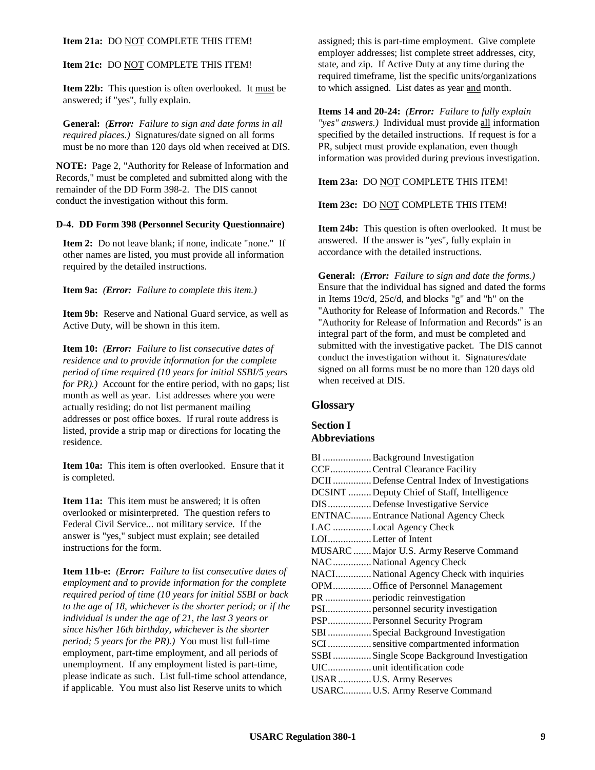#### **Item 21a:** DO NOT COMPLETE THIS ITEM!

#### **Item 21c:** DO NOT COMPLETE THIS ITEM!

**Item 22b:** This question is often overlooked. It must be answered; if "yes", fully explain.

**General:** *(Error: Failure to sign and date forms in all required places.)* Signatures/date signed on all forms must be no more than 120 days old when received at DIS.

**NOTE:** Page 2, "Authority for Release of Information and Records," must be completed and submitted along with the remainder of the DD Form 398-2. The DIS cannot conduct the investigation without this form.

#### **D-4. DD Form 398 (Personnel Security Questionnaire)**

**Item 2:** Do not leave blank; if none, indicate "none." If other names are listed, you must provide all information required by the detailed instructions.

**Item 9a:** *(Error: Failure to complete this item.)*

**Item 9b:** Reserve and National Guard service, as well as Active Duty, will be shown in this item.

**Item 10:** *(Error: Failure to list consecutive dates of residence and to provide information for the complete period of time required (10 years for initial SSBI/5 years for PR*).) Account for the entire period, with no gaps; list month as well as year. List addresses where you were actually residing; do not list permanent mailing addresses or post office boxes. If rural route address is listed, provide a strip map or directions for locating the residence.

**Item 10a:** This item is often overlooked. Ensure that it is completed.

**Item 11a:** This item must be answered; it is often overlooked or misinterpreted. The question refers to Federal Civil Service... not military service. If the answer is "yes," subject must explain; see detailed instructions for the form.

**Item 11b-e:** *(Error: Failure to list consecutive dates of employment and to provide information for the complete required period of time (10 years for initial SSBI or back to the age of 18, whichever is the shorter period; or if the individual is under the age of 21, the last 3 years or since his/her 16th birthday, whichever is the shorter period; 5 years for the PR).)* You must list full-time employment, part-time employment, and all periods of unemployment. If any employment listed is part-time, please indicate as such. List full-time school attendance, if applicable. You must also list Reserve units to which

assigned; this is part-time employment. Give complete employer addresses; list complete street addresses, city, state, and zip. If Active Duty at any time during the required timeframe, list the specific units/organizations to which assigned. List dates as year and month.

**Items 14 and 20-24:** *(Error: Failure to fully explain "yes" answers.)* Individual must provide all information specified by the detailed instructions. If request is for a PR, subject must provide explanation, even though information was provided during previous investigation.

**Item 23a:** DO NOT COMPLETE THIS ITEM!

#### **Item 23c:** DO NOT COMPLETE THIS ITEM!

**Item 24b:** This question is often overlooked. It must be answered. If the answer is "yes", fully explain in accordance with the detailed instructions.

**General:** *(Error: Failure to sign and date the forms.)* Ensure that the individual has signed and dated the forms in Items 19c/d, 25c/d, and blocks "g" and "h" on the "Authority for Release of Information and Records." The "Authority for Release of Information and Records" is an integral part of the form, and must be completed and submitted with the investigative packet. The DIS cannot conduct the investigation without it. Signatures/date signed on all forms must be no more than 120 days old when received at DIS.

## **Glossary**

## **Section I Abbreviations**

| BI  Background Investigation                 |
|----------------------------------------------|
| CCFCentral Clearance Facility                |
| DCII Defense Central Index of Investigations |
| DCSINT  Deputy Chief of Staff, Intelligence  |
| DISDefense Investigative Service             |
| <b>ENTNAC Entrance National Agency Check</b> |
| LAC Local Agency Check                       |
| LOILetter of Intent                          |
| MUSARC  Major U.S. Army Reserve Command      |
| NAC  National Agency Check                   |
| NACI National Agency Check with inquiries    |
| OPMOffice of Personnel Management            |
|                                              |
| PSI personnel security investigation         |
| PSP Personnel Security Program               |
| SBI  Special Background Investigation        |
| SCIsensitive compartmented information       |
| SSBI Single Scope Background Investigation   |
|                                              |
| USAR  U.S. Army Reserves                     |
| USARCU.S. Army Reserve Command               |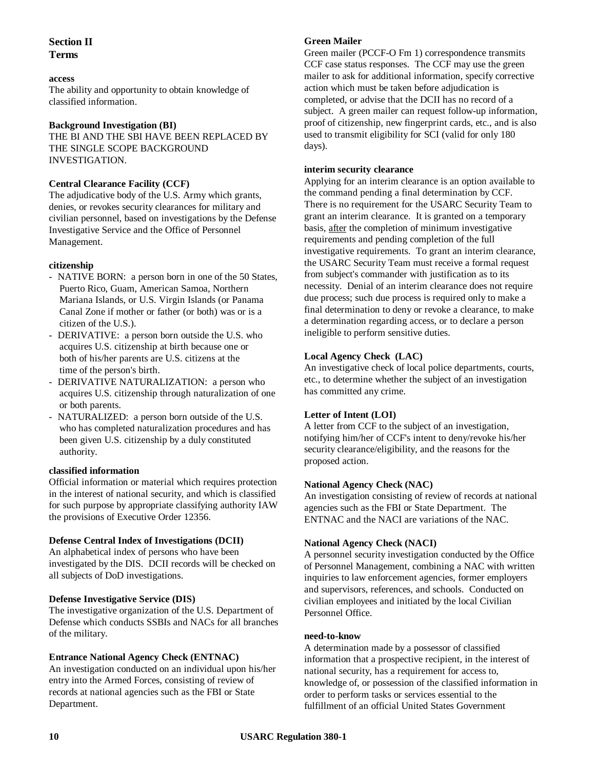# **Section II Terms**

#### **access**

The ability and opportunity to obtain knowledge of classified information.

#### **Background Investigation (BI)**

THE BI AND THE SBI HAVE BEEN REPLACED BY THE SINGLE SCOPE BACKGROUND INVESTIGATION.

## **Central Clearance Facility (CCF)**

The adjudicative body of the U.S. Army which grants, denies, or revokes security clearances for military and civilian personnel, based on investigations by the Defense Investigative Service and the Office of Personnel Management.

## **citizenship**

- NATIVE BORN: a person born in one of the 50 States, Puerto Rico, Guam, American Samoa, Northern Mariana Islands, or U.S. Virgin Islands (or Panama Canal Zone if mother or father (or both) was or is a citizen of the U.S.).
- DERIVATIVE: a person born outside the U.S. who acquires U.S. citizenship at birth because one or both of his/her parents are U.S. citizens at the time of the person's birth.
- DERIVATIVE NATURALIZATION: a person who acquires U.S. citizenship through naturalization of one or both parents.
- NATURALIZED: a person born outside of the U.S. who has completed naturalization procedures and has been given U.S. citizenship by a duly constituted authority.

## **classified information**

Official information or material which requires protection in the interest of national security, and which is classified for such purpose by appropriate classifying authority IAW the provisions of Executive Order 12356.

## **Defense Central Index of Investigations (DCII)**

An alphabetical index of persons who have been investigated by the DIS. DCII records will be checked on all subjects of DoD investigations.

## **Defense Investigative Service (DIS)**

The investigative organization of the U.S. Department of Defense which conducts SSBIs and NACs for all branches of the military.

## **Entrance National Agency Check (ENTNAC)**

An investigation conducted on an individual upon his/her entry into the Armed Forces, consisting of review of records at national agencies such as the FBI or State Department.

#### **Green Mailer**

Green mailer (PCCF-O Fm 1) correspondence transmits CCF case status responses. The CCF may use the green mailer to ask for additional information, specify corrective action which must be taken before adjudication is completed, or advise that the DCII has no record of a subject. A green mailer can request follow-up information, proof of citizenship, new fingerprint cards, etc., and is also used to transmit eligibility for SCI (valid for only 180 days).

#### **interim security clearance**

Applying for an interim clearance is an option available to the command pending a final determination by CCF. There is no requirement for the USARC Security Team to grant an interim clearance. It is granted on a temporary basis, after the completion of minimum investigative requirements and pending completion of the full investigative requirements. To grant an interim clearance, the USARC Security Team must receive a formal request from subject's commander with justification as to its necessity. Denial of an interim clearance does not require due process; such due process is required only to make a final determination to deny or revoke a clearance, to make a determination regarding access, or to declare a person ineligible to perform sensitive duties.

#### **Local Agency Check (LAC)**

An investigative check of local police departments, courts, etc., to determine whether the subject of an investigation has committed any crime.

## **Letter of Intent (LOI)**

A letter from CCF to the subject of an investigation, notifying him/her of CCF's intent to deny/revoke his/her security clearance/eligibility, and the reasons for the proposed action.

#### **National Agency Check (NAC)**

An investigation consisting of review of records at national agencies such as the FBI or State Department. The ENTNAC and the NACI are variations of the NAC.

## **National Agency Check (NACI)**

A personnel security investigation conducted by the Office of Personnel Management, combining a NAC with written inquiries to law enforcement agencies, former employers and supervisors, references, and schools. Conducted on civilian employees and initiated by the local Civilian Personnel Office.

#### **need-to-know**

A determination made by a possessor of classified information that a prospective recipient, in the interest of national security, has a requirement for access to, knowledge of, or possession of the classified information in order to perform tasks or services essential to the fulfillment of an official United States Government